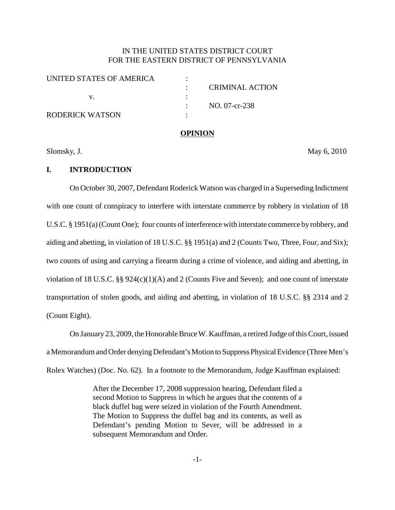# IN THE UNITED STATES DISTRICT COURT FOR THE EASTERN DISTRICT OF PENNSYLVANIA

| CRIMINAL ACTION |
|-----------------|
|                 |
| NO. 07-cr-238   |
|                 |
|                 |

#### **OPINION**

Slomsky, J. May 6, 2010

### **I. INTRODUCTION**

On October 30, 2007, Defendant Roderick Watson was charged in a Superseding Indictment with one count of conspiracy to interfere with interstate commerce by robbery in violation of 18 U.S.C. § 1951(a)(Count One); four counts of interference with interstate commerce by robbery, and aiding and abetting, in violation of 18 U.S.C. §§ 1951(a) and 2 (Counts Two, Three, Four, and Six); two counts of using and carrying a firearm during a crime of violence, and aiding and abetting, in violation of 18 U.S.C. §§ 924(c)(1)(A) and 2 (Counts Five and Seven); and one count of interstate transportation of stolen goods, and aiding and abetting, in violation of 18 U.S.C. §§ 2314 and 2 (Count Eight).

On January 23, 2009, the Honorable Bruce W. Kauffman, a retired Judge of this Court, issued a Memorandum and Order denying Defendant's Motion to Suppress Physical Evidence (Three Men's Rolex Watches) (Doc. No. 62). In a footnote to the Memorandum, Judge Kauffman explained:

> After the December 17, 2008 suppression hearing, Defendant filed a second Motion to Suppress in which he argues that the contents of a black duffel bag were seized in violation of the Fourth Amendment. The Motion to Suppress the duffel bag and its contents, as well as Defendant's pending Motion to Sever, will be addressed in a subsequent Memorandum and Order.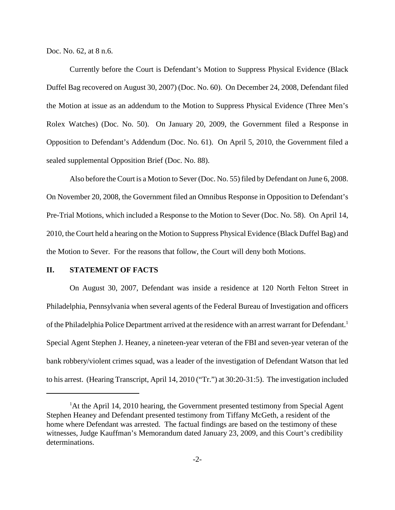Doc. No. 62, at 8 n.6.

Currently before the Court is Defendant's Motion to Suppress Physical Evidence (Black Duffel Bag recovered on August 30, 2007) (Doc. No. 60). On December 24, 2008, Defendant filed the Motion at issue as an addendum to the Motion to Suppress Physical Evidence (Three Men's Rolex Watches) (Doc. No. 50). On January 20, 2009, the Government filed a Response in Opposition to Defendant's Addendum (Doc. No. 61). On April 5, 2010, the Government filed a sealed supplemental Opposition Brief (Doc. No. 88).

Also before the Court is a Motion to Sever (Doc. No. 55) filed by Defendant on June 6, 2008. On November 20, 2008, the Government filed an Omnibus Response in Opposition to Defendant's Pre-Trial Motions, which included a Response to the Motion to Sever (Doc. No. 58). On April 14, 2010, the Court held a hearing on the Motion to Suppress Physical Evidence (Black Duffel Bag) and the Motion to Sever. For the reasons that follow, the Court will deny both Motions.

# **II. STATEMENT OF FACTS**

On August 30, 2007, Defendant was inside a residence at 120 North Felton Street in Philadelphia, Pennsylvania when several agents of the Federal Bureau of Investigation and officers of the Philadelphia Police Department arrived at the residence with an arrest warrant for Defendant.<sup>1</sup> Special Agent Stephen J. Heaney, a nineteen-year veteran of the FBI and seven-year veteran of the bank robbery/violent crimes squad, was a leader of the investigation of Defendant Watson that led to his arrest. (Hearing Transcript, April 14, 2010 ("Tr.") at 30:20-31:5). The investigation included

<sup>&</sup>lt;sup>1</sup>At the April 14, 2010 hearing, the Government presented testimony from Special Agent Stephen Heaney and Defendant presented testimony from Tiffany McGeth, a resident of the home where Defendant was arrested. The factual findings are based on the testimony of these witnesses, Judge Kauffman's Memorandum dated January 23, 2009, and this Court's credibility determinations.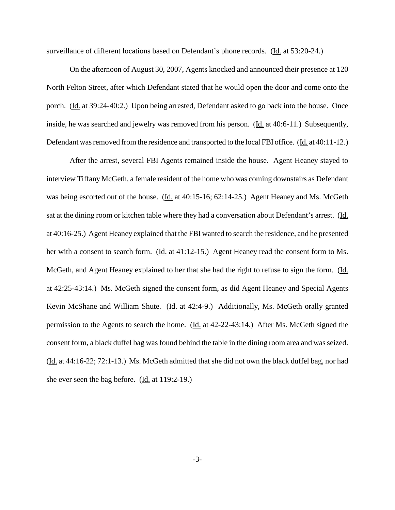surveillance of different locations based on Defendant's phone records. (Id. at 53:20-24.)

On the afternoon of August 30, 2007, Agents knocked and announced their presence at 120 North Felton Street, after which Defendant stated that he would open the door and come onto the porch. (Id. at 39:24-40:2.) Upon being arrested, Defendant asked to go back into the house. Once inside, he was searched and jewelry was removed from his person. (Id. at 40:6-11.) Subsequently, Defendant was removed from the residence and transported to the local FBI office. (Id. at 40:11-12.)

After the arrest, several FBI Agents remained inside the house. Agent Heaney stayed to interview Tiffany McGeth, a female resident of the home who was coming downstairs as Defendant was being escorted out of the house. (Id. at 40:15-16; 62:14-25.) Agent Heaney and Ms. McGeth sat at the dining room or kitchen table where they had a conversation about Defendant's arrest. (Id. at 40:16-25.) Agent Heaney explained that the FBI wanted to search the residence, and he presented her with a consent to search form. (Id. at 41:12-15.) Agent Heaney read the consent form to Ms. McGeth, and Agent Heaney explained to her that she had the right to refuse to sign the form. (Id. at 42:25-43:14.) Ms. McGeth signed the consent form, as did Agent Heaney and Special Agents Kevin McShane and William Shute. (Id. at 42:4-9.) Additionally, Ms. McGeth orally granted permission to the Agents to search the home. (Id. at 42-22-43:14.) After Ms. McGeth signed the consent form, a black duffel bag was found behind the table in the dining room area and wasseized. (Id. at 44:16-22; 72:1-13.) Ms. McGeth admitted that she did not own the black duffel bag, nor had she ever seen the bag before. (Id. at 119:2-19.)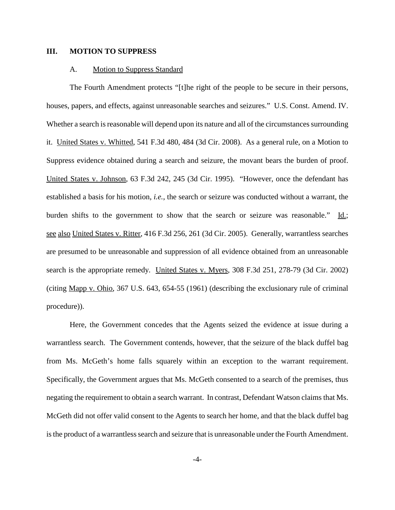#### **III. MOTION TO SUPPRESS**

#### A. Motion to Suppress Standard

The Fourth Amendment protects "[t]he right of the people to be secure in their persons, houses, papers, and effects, against unreasonable searches and seizures." U.S. Const. Amend. IV. Whether a search is reasonable will depend upon its nature and all of the circumstances surrounding it. United States v. Whitted, 541 F.3d 480, 484 (3d Cir. 2008). As a general rule, on a Motion to Suppress evidence obtained during a search and seizure, the movant bears the burden of proof. United States v. Johnson, 63 F.3d 242, 245 (3d Cir. 1995). "However, once the defendant has established a basis for his motion, *i.e.*, the search or seizure was conducted without a warrant, the burden shifts to the government to show that the search or seizure was reasonable." Id.; see also United States v. Ritter, 416 F.3d 256, 261 (3d Cir. 2005). Generally, warrantless searches are presumed to be unreasonable and suppression of all evidence obtained from an unreasonable search is the appropriate remedy. United States v. Myers, 308 F.3d 251, 278-79 (3d Cir. 2002) (citing Mapp v. Ohio, 367 U.S. 643, 654-55 (1961) (describing the exclusionary rule of criminal procedure)).

Here, the Government concedes that the Agents seized the evidence at issue during a warrantless search. The Government contends, however, that the seizure of the black duffel bag from Ms. McGeth's home falls squarely within an exception to the warrant requirement. Specifically, the Government argues that Ms. McGeth consented to a search of the premises, thus negating the requirement to obtain a search warrant. In contrast, Defendant Watson claims that Ms. McGeth did not offer valid consent to the Agents to search her home, and that the black duffel bag is the product of a warrantless search and seizure that is unreasonable under the Fourth Amendment.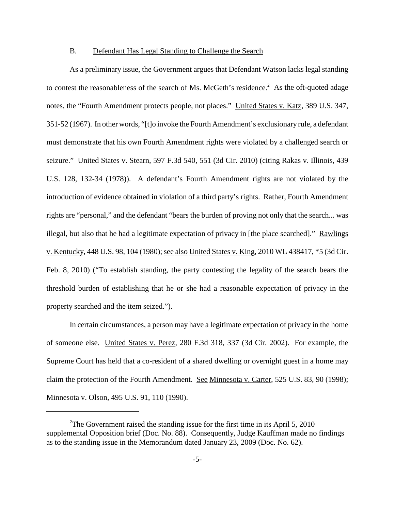#### B. Defendant Has Legal Standing to Challenge the Search

As a preliminary issue, the Government argues that Defendant Watson lacks legal standing to contest the reasonableness of the search of Ms. McGeth's residence.<sup>2</sup> As the oft-quoted adage notes, the "Fourth Amendment protects people, not places." United States v. Katz, 389 U.S. 347, 351-52 (1967). In other words, "[t]o invoke the Fourth Amendment's exclusionary rule, a defendant must demonstrate that his own Fourth Amendment rights were violated by a challenged search or seizure." United States v. Stearn, 597 F.3d 540, 551 (3d Cir. 2010) (citing Rakas v. Illinois, 439 U.S. 128, 132-34 (1978)). A defendant's Fourth Amendment rights are not violated by the introduction of evidence obtained in violation of a third party's rights. Rather, Fourth Amendment rights are "personal," and the defendant "bears the burden of proving not only that the search... was illegal, but also that he had a legitimate expectation of privacy in [the place searched]." Rawlings v. Kentucky, 448 U.S. 98, 104 (1980); see also United States v. King, 2010 WL 438417, \*5 (3d Cir. Feb. 8, 2010) ("To establish standing, the party contesting the legality of the search bears the threshold burden of establishing that he or she had a reasonable expectation of privacy in the property searched and the item seized.").

In certain circumstances, a person may have a legitimate expectation of privacy in the home of someone else. United States v. Perez, 280 F.3d 318, 337 (3d Cir. 2002). For example, the Supreme Court has held that a co-resident of a shared dwelling or overnight guest in a home may claim the protection of the Fourth Amendment. See Minnesota v. Carter, 525 U.S. 83, 90 (1998); Minnesota v. Olson, 495 U.S. 91, 110 (1990).

<sup>&</sup>lt;sup>2</sup>The Government raised the standing issue for the first time in its April 5, 2010 supplemental Opposition brief (Doc. No. 88). Consequently, Judge Kauffman made no findings as to the standing issue in the Memorandum dated January 23, 2009 (Doc. No. 62).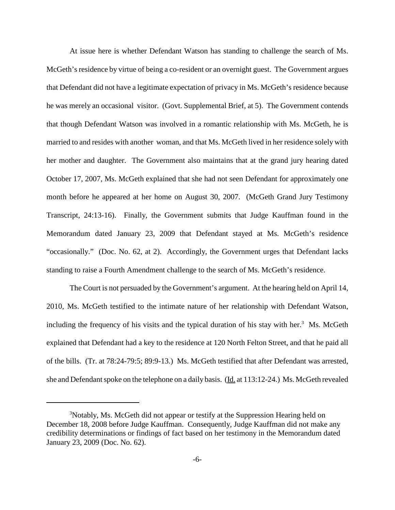At issue here is whether Defendant Watson has standing to challenge the search of Ms. McGeth's residence by virtue of being a co-resident or an overnight guest. The Government argues that Defendant did not have a legitimate expectation of privacy in Ms. McGeth's residence because he was merely an occasional visitor. (Govt. Supplemental Brief, at 5). The Government contends that though Defendant Watson was involved in a romantic relationship with Ms. McGeth, he is married to and resides with another woman, and that Ms. McGeth lived in her residence solely with her mother and daughter. The Government also maintains that at the grand jury hearing dated October 17, 2007, Ms. McGeth explained that she had not seen Defendant for approximately one month before he appeared at her home on August 30, 2007. (McGeth Grand Jury Testimony Transcript, 24:13-16). Finally, the Government submits that Judge Kauffman found in the Memorandum dated January 23, 2009 that Defendant stayed at Ms. McGeth's residence "occasionally." (Doc. No. 62, at 2). Accordingly, the Government urges that Defendant lacks standing to raise a Fourth Amendment challenge to the search of Ms. McGeth's residence.

The Court is not persuaded by the Government's argument. At the hearing held on April 14, 2010, Ms. McGeth testified to the intimate nature of her relationship with Defendant Watson, including the frequency of his visits and the typical duration of his stay with her.<sup>3</sup> Ms. McGeth explained that Defendant had a key to the residence at 120 North Felton Street, and that he paid all of the bills. (Tr. at 78:24-79:5; 89:9-13.) Ms. McGeth testified that after Defendant was arrested, she and Defendant spoke on the telephone on a daily basis. (Id. at  $113:12-24$ .) Ms. McGeth revealed

<sup>&</sup>lt;sup>3</sup>Notably, Ms. McGeth did not appear or testify at the Suppression Hearing held on December 18, 2008 before Judge Kauffman. Consequently, Judge Kauffman did not make any credibility determinations or findings of fact based on her testimony in the Memorandum dated January 23, 2009 (Doc. No. 62).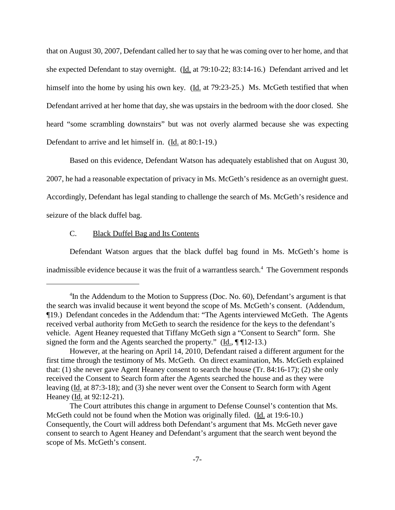that on August 30, 2007, Defendant called her to say that he was coming over to her home, and that she expected Defendant to stay overnight. (Id. at 79:10-22; 83:14-16.) Defendant arrived and let himself into the home by using his own key. (Id. at 79:23-25.) Ms. McGeth testified that when Defendant arrived at her home that day, she was upstairs in the bedroom with the door closed. She heard "some scrambling downstairs" but was not overly alarmed because she was expecting Defendant to arrive and let himself in. (Id. at 80:1-19.)

Based on this evidence, Defendant Watson has adequately established that on August 30, 2007, he had a reasonable expectation of privacy in Ms. McGeth's residence as an overnight guest. Accordingly, Defendant has legal standing to challenge the search of Ms. McGeth's residence and seizure of the black duffel bag.

## C. Black Duffel Bag and Its Contents

Defendant Watson argues that the black duffel bag found in Ms. McGeth's home is inadmissible evidence because it was the fruit of a warrantless search. <sup>4</sup> The Government responds

<sup>&</sup>lt;sup>4</sup>In the Addendum to the Motion to Suppress (Doc. No. 60), Defendant's argument is that the search was invalid because it went beyond the scope of Ms. McGeth's consent. (Addendum, ¶19.) Defendant concedes in the Addendum that: "The Agents interviewed McGeth. The Agents received verbal authority from McGeth to search the residence for the keys to the defendant's vehicle. Agent Heaney requested that Tiffany McGeth sign a "Consent to Search" form. She signed the form and the Agents searched the property." (Id.,  $\P$   $\P$ 12-13.)

However, at the hearing on April 14, 2010, Defendant raised a different argument for the first time through the testimony of Ms. McGeth. On direct examination, Ms. McGeth explained that: (1) she never gave Agent Heaney consent to search the house (Tr. 84:16-17); (2) she only received the Consent to Search form after the Agents searched the house and as they were leaving (Id. at 87:3-18); and (3) she never went over the Consent to Search form with Agent Heaney (Id. at 92:12-21).

The Court attributes this change in argument to Defense Counsel's contention that Ms. McGeth could not be found when the Motion was originally filed. (Id. at 19:6-10.) Consequently, the Court will address both Defendant's argument that Ms. McGeth never gave consent to search to Agent Heaney and Defendant's argument that the search went beyond the scope of Ms. McGeth's consent.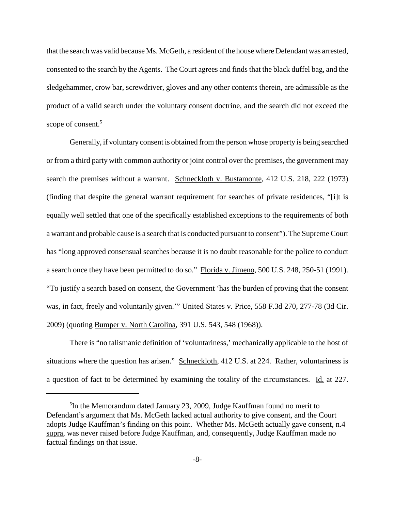that the search was valid because Ms. McGeth, a resident of the house where Defendant was arrested, consented to the search by the Agents. The Court agrees and finds that the black duffel bag, and the sledgehammer, crow bar, screwdriver, gloves and any other contents therein, are admissible as the product of a valid search under the voluntary consent doctrine, and the search did not exceed the scope of consent. 5

Generally, if voluntary consent is obtained from the person whose property is being searched or from a third party with common authority or joint control over the premises, the government may search the premises without a warrant. Schneckloth v. Bustamonte, 412 U.S. 218, 222 (1973) (finding that despite the general warrant requirement for searches of private residences, "[i]t is equally well settled that one of the specifically established exceptions to the requirements of both a warrant and probable cause is a search that is conducted pursuant to consent"). The Supreme Court has "long approved consensual searches because it is no doubt reasonable for the police to conduct a search once they have been permitted to do so." Florida v. Jimeno, 500 U.S. 248, 250-51 (1991). "To justify a search based on consent, the Government 'has the burden of proving that the consent was, in fact, freely and voluntarily given.'" United States v. Price, 558 F.3d 270, 277-78 (3d Cir. 2009) (quoting Bumper v. North Carolina, 391 U.S. 543, 548 (1968)).

There is "no talismanic definition of 'voluntariness,' mechanically applicable to the host of situations where the question has arisen." Schneckloth, 412 U.S. at 224. Rather, voluntariness is a question of fact to be determined by examining the totality of the circumstances. Id. at 227.

<sup>&</sup>lt;sup>5</sup>In the Memorandum dated January 23, 2009, Judge Kauffman found no merit to Defendant's argument that Ms. McGeth lacked actual authority to give consent, and the Court adopts Judge Kauffman's finding on this point. Whether Ms. McGeth actually gave consent, n.4 supra, was never raised before Judge Kauffman, and, consequently, Judge Kauffman made no factual findings on that issue.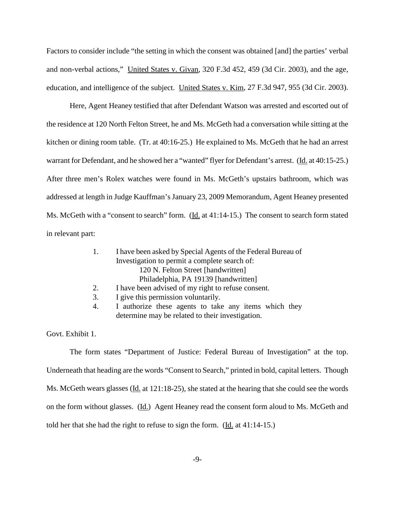Factors to consider include "the setting in which the consent was obtained [and] the parties' verbal and non-verbal actions," United States v. Givan, 320 F.3d 452, 459 (3d Cir. 2003), and the age, education, and intelligence of the subject. United States v. Kim, 27 F.3d 947, 955 (3d Cir. 2003).

Here, Agent Heaney testified that after Defendant Watson was arrested and escorted out of the residence at 120 North Felton Street, he and Ms. McGeth had a conversation while sitting at the kitchen or dining room table. (Tr. at 40:16-25.) He explained to Ms. McGeth that he had an arrest warrant for Defendant, and he showed her a "wanted" flyer for Defendant's arrest. (Id. at 40:15-25.) After three men's Rolex watches were found in Ms. McGeth's upstairs bathroom, which was addressed at length in Judge Kauffman's January 23, 2009 Memorandum, Agent Heaney presented Ms. McGeth with a "consent to search" form. (Id. at 41:14-15.) The consent to search form stated in relevant part:

| $\overline{1}$ . | I have been asked by Special Agents of the Federal Bureau of |  |  |
|------------------|--------------------------------------------------------------|--|--|
|                  | Investigation to permit a complete search of:                |  |  |
|                  | 120 N. Felton Street [handwritten]                           |  |  |
|                  | Philadelphia, PA 19139 [handwritten]                         |  |  |
| 2.               | I have been advised of my right to refuse consent.           |  |  |
| 3.               | I give this permission voluntarily.                          |  |  |

4. I authorize these agents to take any items which they determine may be related to their investigation.

Govt. Exhibit 1.

The form states "Department of Justice: Federal Bureau of Investigation" at the top. Underneath that heading are the words "Consent to Search," printed in bold, capital letters. Though Ms. McGeth wears glasses (Id. at 121:18-25), she stated at the hearing that she could see the words on the form without glasses. (Id.) Agent Heaney read the consent form aloud to Ms. McGeth and told her that she had the right to refuse to sign the form. (Id. at 41:14-15.)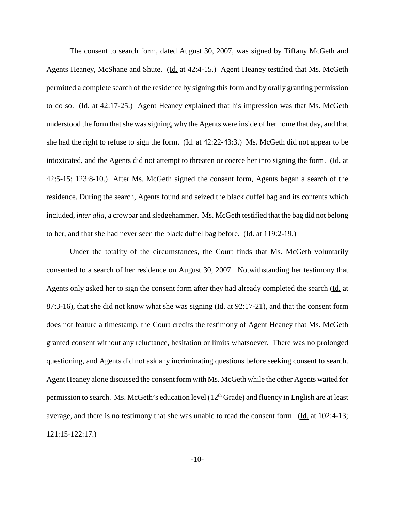The consent to search form, dated August 30, 2007, was signed by Tiffany McGeth and Agents Heaney, McShane and Shute. (Id. at 42:4-15.) Agent Heaney testified that Ms. McGeth permitted a complete search of the residence by signing this form and by orally granting permission to do so. (Id. at 42:17-25.) Agent Heaney explained that his impression was that Ms. McGeth understood the form that she was signing, why the Agents were inside of her home that day, and that she had the right to refuse to sign the form. (Id. at 42:22-43:3.) Ms. McGeth did not appear to be intoxicated, and the Agents did not attempt to threaten or coerce her into signing the form. (Id. at 42:5-15; 123:8-10.) After Ms. McGeth signed the consent form, Agents began a search of the residence. During the search, Agents found and seized the black duffel bag and its contents which included, *inter alia*, a crowbar and sledgehammer. Ms. McGeth testified that the bag did not belong to her, and that she had never seen the black duffel bag before. (Id. at 119:2-19.)

Under the totality of the circumstances, the Court finds that Ms. McGeth voluntarily consented to a search of her residence on August 30, 2007. Notwithstanding her testimony that Agents only asked her to sign the consent form after they had already completed the search (Id. at 87:3-16), that she did not know what she was signing (Id. at 92:17-21), and that the consent form does not feature a timestamp, the Court credits the testimony of Agent Heaney that Ms. McGeth granted consent without any reluctance, hesitation or limits whatsoever. There was no prolonged questioning, and Agents did not ask any incriminating questions before seeking consent to search. Agent Heaney alone discussed the consent form with Ms. McGeth while the other Agents waited for permission to search. Ms. McGeth's education level  $(12<sup>th</sup> Grade)$  and fluency in English are at least average, and there is no testimony that she was unable to read the consent form. (Id. at 102:4-13; 121:15-122:17.)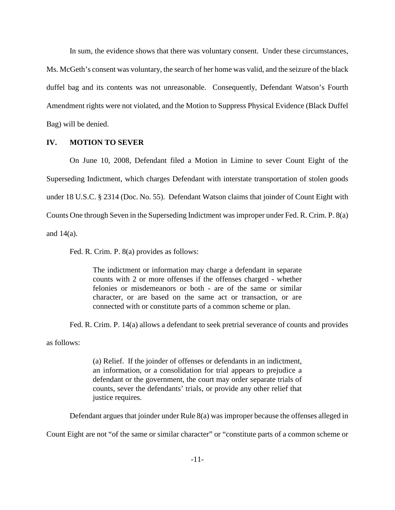In sum, the evidence shows that there was voluntary consent. Under these circumstances, Ms. McGeth's consent was voluntary, the search of her home was valid, and the seizure of the black duffel bag and its contents was not unreasonable. Consequently, Defendant Watson's Fourth Amendment rights were not violated, and the Motion to Suppress Physical Evidence (Black Duffel Bag) will be denied.

# **IV. MOTION TO SEVER**

On June 10, 2008, Defendant filed a Motion in Limine to sever Count Eight of the Superseding Indictment, which charges Defendant with interstate transportation of stolen goods under 18 U.S.C. § 2314 (Doc. No. 55). Defendant Watson claims that joinder of Count Eight with Counts One through Seven in the Superseding Indictment wasimproper under Fed. R. Crim. P. 8(a) and 14(a).

Fed. R. Crim. P. 8(a) provides as follows:

The indictment or information may charge a defendant in separate counts with 2 or more offenses if the offenses charged - whether felonies or misdemeanors or both - are of the same or similar character, or are based on the same act or transaction, or are connected with or constitute parts of a common scheme or plan.

Fed. R. Crim. P. 14(a) allows a defendant to seek pretrial severance of counts and provides

as follows:

(a) Relief. If the joinder of offenses or defendants in an indictment, an information, or a consolidation for trial appears to prejudice a defendant or the government, the court may order separate trials of counts, sever the defendants' trials, or provide any other relief that justice requires.

Defendant argues that joinder under Rule 8(a) was improper because the offenses alleged in

Count Eight are not "of the same or similar character" or "constitute parts of a common scheme or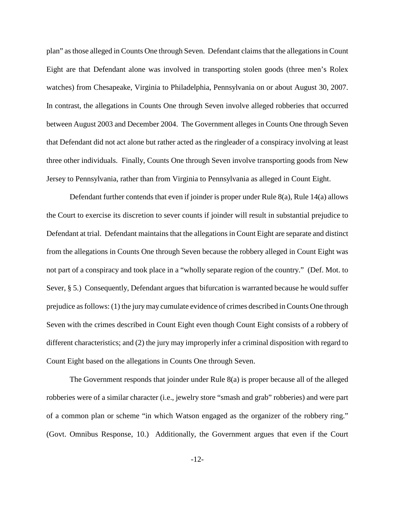plan" as those alleged in Counts One through Seven. Defendant claims that the allegations in Count Eight are that Defendant alone was involved in transporting stolen goods (three men's Rolex watches) from Chesapeake, Virginia to Philadelphia, Pennsylvania on or about August 30, 2007. In contrast, the allegations in Counts One through Seven involve alleged robberies that occurred between August 2003 and December 2004. The Government alleges in Counts One through Seven that Defendant did not act alone but rather acted as the ringleader of a conspiracy involving at least three other individuals. Finally, Counts One through Seven involve transporting goods from New Jersey to Pennsylvania, rather than from Virginia to Pennsylvania as alleged in Count Eight.

Defendant further contends that even if joinder is proper under Rule 8(a), Rule 14(a) allows the Court to exercise its discretion to sever counts if joinder will result in substantial prejudice to Defendant at trial. Defendant maintains that the allegations in Count Eight are separate and distinct from the allegations in Counts One through Seven because the robbery alleged in Count Eight was not part of a conspiracy and took place in a "wholly separate region of the country." (Def. Mot. to Sever, § 5.) Consequently, Defendant argues that bifurcation is warranted because he would suffer prejudice asfollows: (1) the jurymay cumulate evidence of crimes described in Counts One through Seven with the crimes described in Count Eight even though Count Eight consists of a robbery of different characteristics; and (2) the jury may improperly infer a criminal disposition with regard to Count Eight based on the allegations in Counts One through Seven.

The Government responds that joinder under Rule 8(a) is proper because all of the alleged robberies were of a similar character (i.e., jewelry store "smash and grab" robberies) and were part of a common plan or scheme "in which Watson engaged as the organizer of the robbery ring." (Govt. Omnibus Response, 10.) Additionally, the Government argues that even if the Court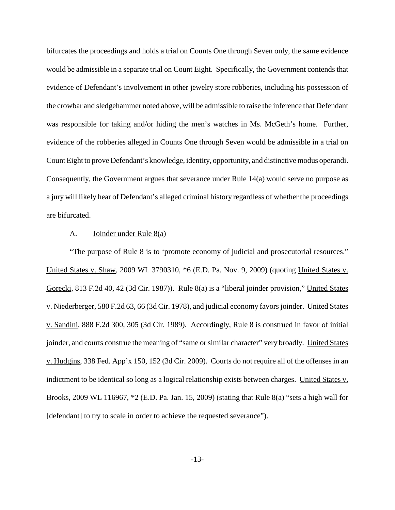bifurcates the proceedings and holds a trial on Counts One through Seven only, the same evidence would be admissible in a separate trial on Count Eight. Specifically, the Government contends that evidence of Defendant's involvement in other jewelry store robberies, including his possession of the crowbar and sledgehammer noted above, will be admissible to raise the inference that Defendant was responsible for taking and/or hiding the men's watches in Ms. McGeth's home. Further, evidence of the robberies alleged in Counts One through Seven would be admissible in a trial on Count Eight to prove Defendant's knowledge, identity, opportunity, and distinctive modus operandi. Consequently, the Government argues that severance under Rule 14(a) would serve no purpose as a jury will likely hear of Defendant's alleged criminal history regardless of whether the proceedings are bifurcated.

### A. Joinder under Rule  $8(a)$

"The purpose of Rule 8 is to 'promote economy of judicial and prosecutorial resources." United States v. Shaw, 2009 WL 3790310, \*6 (E.D. Pa. Nov. 9, 2009) (quoting United States v. Gorecki, 813 F.2d 40, 42 (3d Cir. 1987)). Rule 8(a) is a "liberal joinder provision," United States v. Niederberger, 580 F.2d 63, 66 (3d Cir. 1978), and judicial economy favorsjoinder. United States v. Sandini, 888 F.2d 300, 305 (3d Cir. 1989). Accordingly, Rule 8 is construed in favor of initial joinder, and courts construe the meaning of "same or similar character" very broadly. United States v. Hudgins, 338 Fed. App'x 150, 152 (3d Cir. 2009). Courts do not require all of the offenses in an indictment to be identical so long as a logical relationship exists between charges. United States v. Brooks, 2009 WL 116967, \*2 (E.D. Pa. Jan. 15, 2009) (stating that Rule 8(a) "sets a high wall for [defendant] to try to scale in order to achieve the requested severance").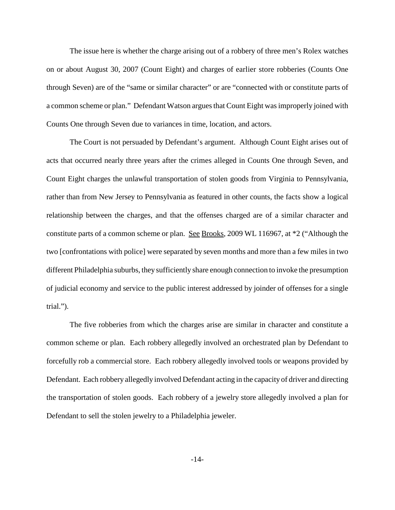The issue here is whether the charge arising out of a robbery of three men's Rolex watches on or about August 30, 2007 (Count Eight) and charges of earlier store robberies (Counts One through Seven) are of the "same or similar character" or are "connected with or constitute parts of a common scheme or plan." Defendant Watson argues that Count Eight was improperly joined with Counts One through Seven due to variances in time, location, and actors.

The Court is not persuaded by Defendant's argument. Although Count Eight arises out of acts that occurred nearly three years after the crimes alleged in Counts One through Seven, and Count Eight charges the unlawful transportation of stolen goods from Virginia to Pennsylvania, rather than from New Jersey to Pennsylvania as featured in other counts, the facts show a logical relationship between the charges, and that the offenses charged are of a similar character and constitute parts of a common scheme or plan. See Brooks, 2009 WL 116967, at \*2 ("Although the two [confrontations with police] were separated by seven months and more than a few miles in two different Philadelphia suburbs, they sufficiently share enough connection to invoke the presumption of judicial economy and service to the public interest addressed by joinder of offenses for a single trial.").

The five robberies from which the charges arise are similar in character and constitute a common scheme or plan. Each robbery allegedly involved an orchestrated plan by Defendant to forcefully rob a commercial store. Each robbery allegedly involved tools or weapons provided by Defendant. Each robbery allegedly involved Defendant acting in the capacity of driver and directing the transportation of stolen goods. Each robbery of a jewelry store allegedly involved a plan for Defendant to sell the stolen jewelry to a Philadelphia jeweler.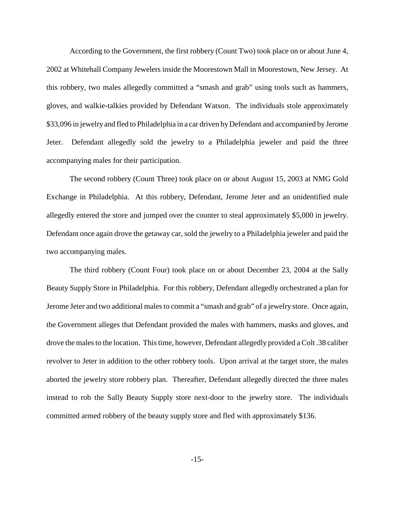According to the Government, the first robbery (Count Two) took place on or about June 4, 2002 at Whitehall Company Jewelers inside the Moorestown Mall in Moorestown, New Jersey. At this robbery, two males allegedly committed a "smash and grab" using tools such as hammers, gloves, and walkie-talkies provided by Defendant Watson. The individuals stole approximately \$33,096 in jewelry and fled to Philadelphia in a car driven by Defendant and accompanied by Jerome Jeter. Defendant allegedly sold the jewelry to a Philadelphia jeweler and paid the three accompanying males for their participation.

The second robbery (Count Three) took place on or about August 15, 2003 at NMG Gold Exchange in Philadelphia. At this robbery, Defendant, Jerome Jeter and an unidentified male allegedly entered the store and jumped over the counter to steal approximately \$5,000 in jewelry. Defendant once again drove the getaway car, sold the jewelry to a Philadelphia jeweler and paid the two accompanying males.

The third robbery (Count Four) took place on or about December 23, 2004 at the Sally Beauty Supply Store in Philadelphia. For this robbery, Defendant allegedly orchestrated a plan for Jerome Jeter and two additional males to commit a "smash and grab" of a jewelry store. Once again, the Government alleges that Defendant provided the males with hammers, masks and gloves, and drove the malesto the location. Thistime, however, Defendant allegedly provided a Colt .38 caliber revolver to Jeter in addition to the other robbery tools. Upon arrival at the target store, the males aborted the jewelry store robbery plan. Thereafter, Defendant allegedly directed the three males instead to rob the Sally Beauty Supply store next-door to the jewelry store. The individuals committed armed robbery of the beauty supply store and fled with approximately \$136.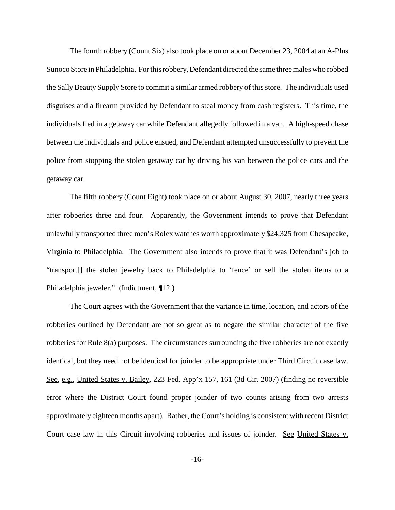The fourth robbery (Count Six) also took place on or about December 23, 2004 at an A-Plus Sunoco Store in Philadelphia. Forthisrobbery, Defendant directed the same threemales who robbed the Sally Beauty Supply Store to commit a similar armed robbery of this store. The individuals used disguises and a firearm provided by Defendant to steal money from cash registers. This time, the individuals fled in a getaway car while Defendant allegedly followed in a van. A high-speed chase between the individuals and police ensued, and Defendant attempted unsuccessfully to prevent the police from stopping the stolen getaway car by driving his van between the police cars and the getaway car.

The fifth robbery (Count Eight) took place on or about August 30, 2007, nearly three years after robberies three and four. Apparently, the Government intends to prove that Defendant unlawfully transported three men's Rolex watches worth approximately \$24,325 from Chesapeake, Virginia to Philadelphia. The Government also intends to prove that it was Defendant's job to "transport[] the stolen jewelry back to Philadelphia to 'fence' or sell the stolen items to a Philadelphia jeweler." (Indictment, ¶12.)

The Court agrees with the Government that the variance in time, location, and actors of the robberies outlined by Defendant are not so great as to negate the similar character of the five robberies for Rule 8(a) purposes. The circumstances surrounding the five robberies are not exactly identical, but they need not be identical for joinder to be appropriate under Third Circuit case law. See, e.g., United States v. Bailey, 223 Fed. App'x 157, 161 (3d Cir. 2007) (finding no reversible error where the District Court found proper joinder of two counts arising from two arrests approximately eighteen months apart). Rather, the Court's holding is consistent with recent District Court case law in this Circuit involving robberies and issues of joinder. See United States v.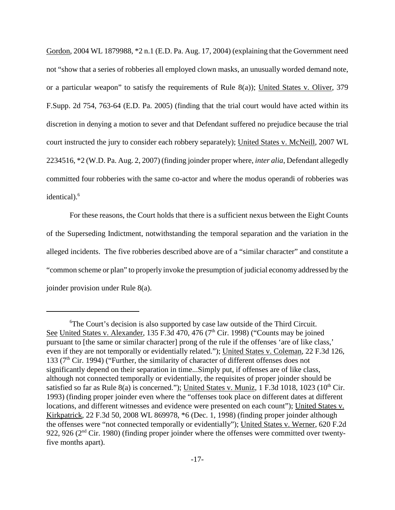Gordon, 2004 WL 1879988, \*2 n.1 (E.D. Pa. Aug. 17, 2004) (explaining that the Government need not "show that a series of robberies all employed clown masks, an unusually worded demand note, or a particular weapon" to satisfy the requirements of Rule 8(a)); United States v. Oliver, 379 F.Supp. 2d 754, 763-64 (E.D. Pa. 2005) (finding that the trial court would have acted within its discretion in denying a motion to sever and that Defendant suffered no prejudice because the trial court instructed the jury to consider each robbery separately); United States v. McNeill, 2007 WL 2234516, \*2 (W.D. Pa. Aug. 2, 2007) (finding joinder proper where, *inter alia*, Defendant allegedly committed four robberies with the same co-actor and where the modus operandi of robberies was identical). 6

For these reasons, the Court holds that there is a sufficient nexus between the Eight Counts of the Superseding Indictment, notwithstanding the temporal separation and the variation in the alleged incidents. The five robberies described above are of a "similar character" and constitute a "common scheme or plan" to properly invoke the presumption of judicial economy addressed by the joinder provision under Rule 8(a).

<sup>&</sup>lt;sup>6</sup>The Court's decision is also supported by case law outside of the Third Circuit. See United States v. Alexander, 135 F.3d 470, 476 ( $7<sup>th</sup>$  Cir. 1998) ("Counts may be joined pursuant to [the same or similar character] prong of the rule if the offenses 'are of like class,' even if they are not temporally or evidentially related."); United States v. Coleman, 22 F.3d 126, 133 ( $7<sup>th</sup>$  Cir. 1994) ("Further, the similarity of character of different offenses does not significantly depend on their separation in time...Simply put, if offenses are of like class, although not connected temporally or evidentially, the requisites of proper joinder should be satisfied so far as Rule 8(a) is concerned."); United States v. Muniz, 1 F.3d 1018, 1023 ( $10^{th}$  Cir. 1993) (finding proper joinder even where the "offenses took place on different dates at different locations, and different witnesses and evidence were presented on each count"); United States v. Kirkpatrick, 22 F.3d 50, 2008 WL 869978, \*6 (Dec. 1, 1998) (finding proper joinder although the offenses were "not connected temporally or evidentially"); United States v. Werner, 620 F.2d 922, 926 ( $2<sup>nd</sup>$  Cir. 1980) (finding proper joinder where the offenses were committed over twentyfive months apart).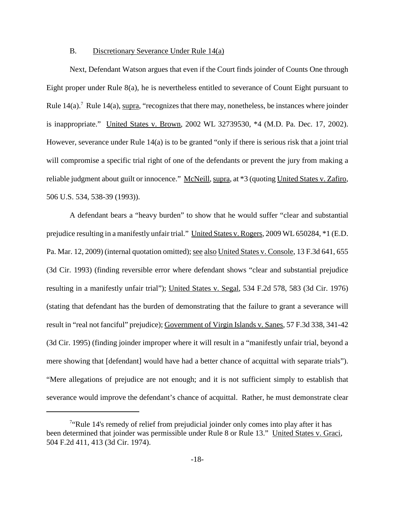#### B. Discretionary Severance Under Rule 14(a)

Next, Defendant Watson argues that even if the Court finds joinder of Counts One through Eight proper under Rule 8(a), he is nevertheless entitled to severance of Count Eight pursuant to Rule  $14(a)$ .<sup>7</sup> Rule  $14(a)$ , supra, "recognizes that there may, nonetheless, be instances where joinder is inappropriate." United States v. Brown, 2002 WL 32739530, \*4 (M.D. Pa. Dec. 17, 2002). However, severance under Rule 14(a) is to be granted "only if there is serious risk that a joint trial will compromise a specific trial right of one of the defendants or prevent the jury from making a reliable judgment about guilt or innocence." McNeill, supra, at  $*3$  (quoting United States v. Zafiro, 506 U.S. 534, 538-39 (1993)).

A defendant bears a "heavy burden" to show that he would suffer "clear and substantial prejudice resulting in a manifestly unfair trial." United States v. Rogers, 2009 WL 650284, \*1 (E.D. Pa. Mar. 12, 2009) (internal quotation omitted); see also United States v. Console, 13 F.3d 641, 655 (3d Cir. 1993) (finding reversible error where defendant shows "clear and substantial prejudice resulting in a manifestly unfair trial"); United States v. Segal, 534 F.2d 578, 583 (3d Cir. 1976) (stating that defendant has the burden of demonstrating that the failure to grant a severance will result in "real not fanciful" prejudice); Government of Virgin Islands v. Sanes, 57 F.3d 338, 341-42 (3d Cir. 1995) (finding joinder improper where it will result in a "manifestly unfair trial, beyond a mere showing that [defendant] would have had a better chance of acquittal with separate trials"). "Mere allegations of prejudice are not enough; and it is not sufficient simply to establish that severance would improve the defendant's chance of acquittal. Rather, he must demonstrate clear

<sup>&</sup>lt;sup>7</sup>"Rule 14's remedy of relief from prejudicial joinder only comes into play after it has been determined that joinder was permissible under Rule 8 or Rule 13." United States v. Graci, 504 F.2d 411, 413 (3d Cir. 1974).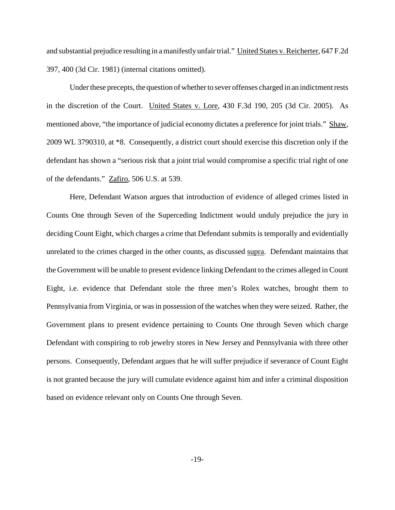and substantial prejudice resulting in a manifestly unfair trial." United States v. Reicherter, 647 F.2d 397, 400 (3d Cir. 1981) (internal citations omitted).

Under these precepts, the question of whether to sever offenses charged in an indictment rests in the discretion of the Court. United States v. Lore, 430 F.3d 190, 205 (3d Cir. 2005). As mentioned above, "the importance of judicial economy dictates a preference for joint trials." Shaw, 2009 WL 3790310, at \*8. Consequently, a district court should exercise this discretion only if the defendant has shown a "serious risk that a joint trial would compromise a specific trial right of one of the defendants." Zafiro, 506 U.S. at 539.

Here, Defendant Watson argues that introduction of evidence of alleged crimes listed in Counts One through Seven of the Superceding Indictment would unduly prejudice the jury in deciding Count Eight, which charges a crime that Defendant submits is temporally and evidentially unrelated to the crimes charged in the other counts, as discussed supra. Defendant maintains that the Government will be unable to present evidence linking Defendant to the crimes alleged in Count Eight, i.e. evidence that Defendant stole the three men's Rolex watches, brought them to Pennsylvania from Virginia, or was in possession of the watches when they were seized. Rather, the Government plans to present evidence pertaining to Counts One through Seven which charge Defendant with conspiring to rob jewelry stores in New Jersey and Pennsylvania with three other persons. Consequently, Defendant argues that he will suffer prejudice if severance of Count Eight is not granted because the jury will cumulate evidence against him and infer a criminal disposition based on evidence relevant only on Counts One through Seven.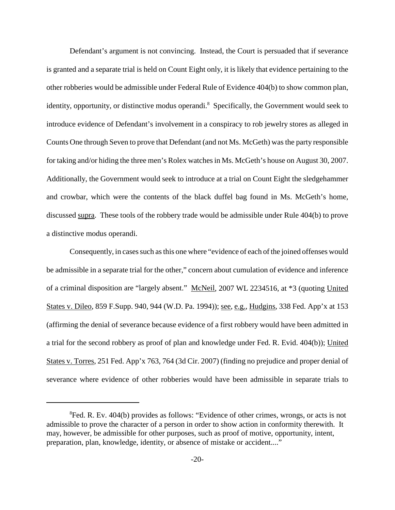Defendant's argument is not convincing. Instead, the Court is persuaded that if severance is granted and a separate trial is held on Count Eight only, it is likely that evidence pertaining to the other robberies would be admissible under Federal Rule of Evidence 404(b) to show common plan, identity, opportunity, or distinctive modus operandi.<sup>8</sup> Specifically, the Government would seek to introduce evidence of Defendant's involvement in a conspiracy to rob jewelry stores as alleged in Counts One through Seven to prove that Defendant (and not Ms. McGeth) wasthe party responsible for taking and/or hiding the three men's Rolex watchesin Ms. McGeth's house on August 30, 2007. Additionally, the Government would seek to introduce at a trial on Count Eight the sledgehammer and crowbar, which were the contents of the black duffel bag found in Ms. McGeth's home, discussed supra. These tools of the robbery trade would be admissible under Rule 404(b) to prove a distinctive modus operandi.

Consequently, in cases such as this one where "evidence of each of the joined offenses would be admissible in a separate trial for the other," concern about cumulation of evidence and inference of a criminal disposition are "largely absent." McNeil, 2007 WL 2234516, at \*3 (quoting United States v. Dileo, 859 F. Supp. 940, 944 (W.D. Pa. 1994)); <u>see, e.g., Hudgins</u>, 338 Fed. App'x at 153 (affirming the denial of severance because evidence of a first robbery would have been admitted in a trial for the second robbery as proof of plan and knowledge under Fed. R. Evid. 404(b)); United States v. Torres, 251 Fed. App'x 763, 764 (3d Cir. 2007) (finding no prejudice and proper denial of severance where evidence of other robberies would have been admissible in separate trials to

<sup>&</sup>lt;sup>8</sup>Fed. R. Ev. 404(b) provides as follows: "Evidence of other crimes, wrongs, or acts is not admissible to prove the character of a person in order to show action in conformity therewith. It may, however, be admissible for other purposes, such as proof of motive, opportunity, intent, preparation, plan, knowledge, identity, or absence of mistake or accident...."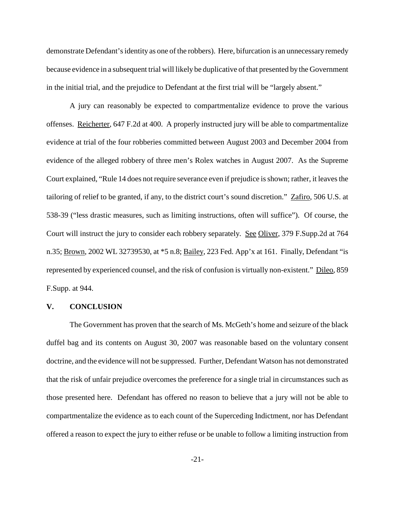demonstrate Defendant's identity as one of the robbers). Here, bifurcation is an unnecessary remedy because evidence in a subsequent trial will likely be duplicative of that presented by the Government in the initial trial, and the prejudice to Defendant at the first trial will be "largely absent."

A jury can reasonably be expected to compartmentalize evidence to prove the various offenses. Reicherter, 647 F.2d at 400. A properly instructed jury will be able to compartmentalize evidence at trial of the four robberies committed between August 2003 and December 2004 from evidence of the alleged robbery of three men's Rolex watches in August 2007. As the Supreme Court explained, "Rule 14 does not require severance even if prejudice isshown; rather, it leavesthe tailoring of relief to be granted, if any, to the district court's sound discretion." Zafiro, 506 U.S. at 538-39 ("less drastic measures, such as limiting instructions, often will suffice"). Of course, the Court will instruct the jury to consider each robbery separately. See Oliver, 379 F.Supp.2d at 764 n.35; Brown, 2002 WL 32739530, at \*5 n.8; Bailey, 223 Fed. App'x at 161. Finally, Defendant "is represented by experienced counsel, and the risk of confusion is virtually non-existent." Dileo, 859 F.Supp. at 944.

### **V. CONCLUSION**

The Government has proven that the search of Ms. McGeth's home and seizure of the black duffel bag and its contents on August 30, 2007 was reasonable based on the voluntary consent doctrine, and the evidence will not be suppressed. Further, Defendant Watson has not demonstrated that the risk of unfair prejudice overcomes the preference for a single trial in circumstances such as those presented here. Defendant has offered no reason to believe that a jury will not be able to compartmentalize the evidence as to each count of the Superceding Indictment, nor has Defendant offered a reason to expect the jury to either refuse or be unable to follow a limiting instruction from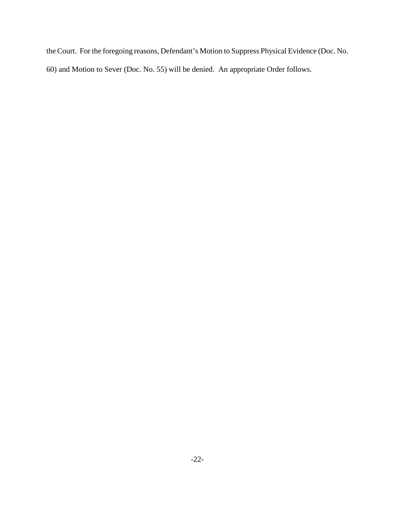the Court. For the foregoing reasons, Defendant's Motion to Suppress Physical Evidence (Doc. No. 60) and Motion to Sever (Doc. No. 55) will be denied. An appropriate Order follows.